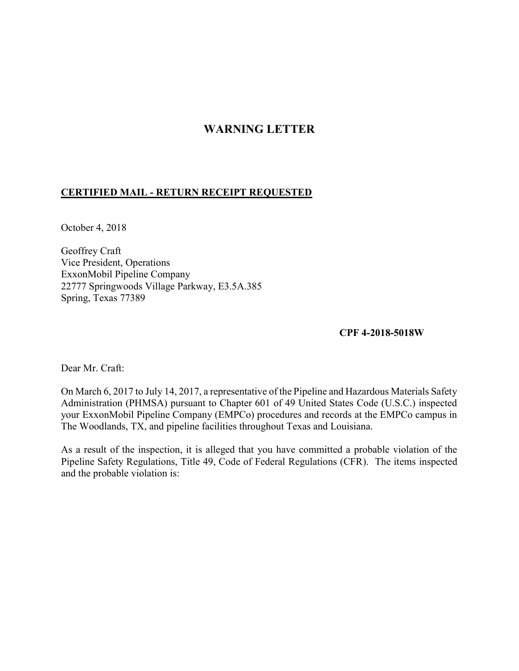## WARNING LETTER

## CERTIFIED MAIL - RETURN RECEIPT REQUESTED

October 4, 2018

 Geoffrey Craft Vice President, Operations ExxonMobil Pipeline Company 22777 Springwoods Village Parkway, E3.5A.385 Spring, Texas 77389

CPF 4-2018-5018W

Dear Mr. Craft:

 On March 6, 2017 to July 14, 2017, a representative of the Pipeline and Hazardous Materials Safety Administration (PHMSA) pursuant to Chapter 601 of 49 United States Code (U.S.C.) inspected your ExxonMobil Pipeline Company (EMPCo) procedures and records at the EMPCo campus in The Woodlands, TX, and pipeline facilities throughout Texas and Louisiana.

 As a result of the inspection, it is alleged that you have committed a probable violation of the Pipeline Safety Regulations, Title 49, Code of Federal Regulations (CFR). The items inspected and the probable violation is: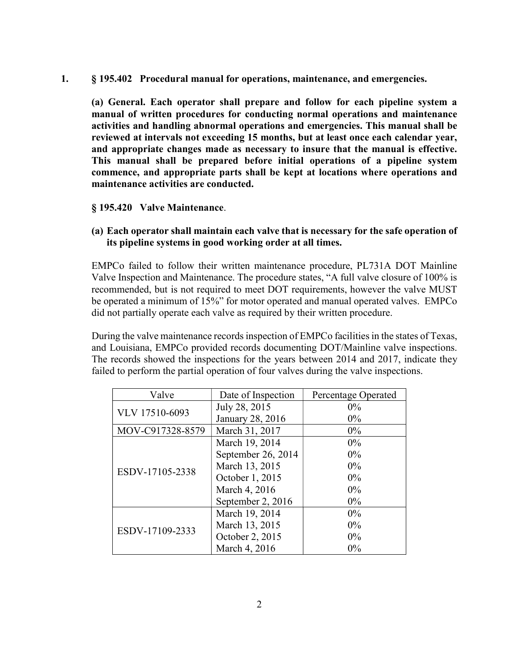$\mathbf{1}$ . § 195.402 Procedural manual for operations, maintenance, and emergencies.

 manual of written procedures for conducting normal operations and maintenance activities and handling abnormal operations and emergencies. This manual shall be reviewed at intervals not exceeding 15 months, but at least once each calendar year, and appropriate changes made as necessary to insure that the manual is effective. This manual shall be prepared before initial operations of a pipeline system commence, and appropriate parts shall be kept at locations where operations and maintenance activities are conducted. (a) General. Each operator shall prepare and follow for each pipeline system a

§ 195.420 Valve Maintenance.

 (a) Each operator shall maintain each valve that is necessary for the safe operation of its pipeline systems in good working order at all times.

 EMPCo failed to follow their written maintenance procedure, PL731A DOT Mainline Valve Inspection and Maintenance. The procedure states, "A full valve closure of 100% is recommended, but is not required to meet DOT requirements, however the valve MUST be operated a minimum of 15%" for motor operated and manual operated valves. EMPCo did not partially operate each valve as required by their written procedure.

During the valve maintenance records inspection of EMPCo facilities in the states of Texas, and Louisiana, EMPCo provided records documenting DOT/Mainline valve inspections. The records showed the inspections for the years between 2014 and 2017, indicate they failed to perform the partial operation of four valves during the valve inspections.

| Valve            | Date of Inspection | Percentage Operated |
|------------------|--------------------|---------------------|
| VLV 17510-6093   | July 28, 2015      | $0\%$               |
|                  | January 28, 2016   | $0\%$               |
| MOV-C917328-8579 | March 31, 2017     | $0\%$               |
| ESDV-17105-2338  | March 19, 2014     | $0\%$               |
|                  | September 26, 2014 | $0\%$               |
|                  | March 13, 2015     | $0\%$               |
|                  | October 1, 2015    | $0\%$               |
|                  | March 4, 2016      | $0\%$               |
|                  | September 2, 2016  | $0\%$               |
| ESDV-17109-2333  | March 19, 2014     | $0\%$               |
|                  | March 13, 2015     | $0\%$               |
|                  | October 2, 2015    | $0\%$               |
|                  | March 4, 2016      | 0%                  |